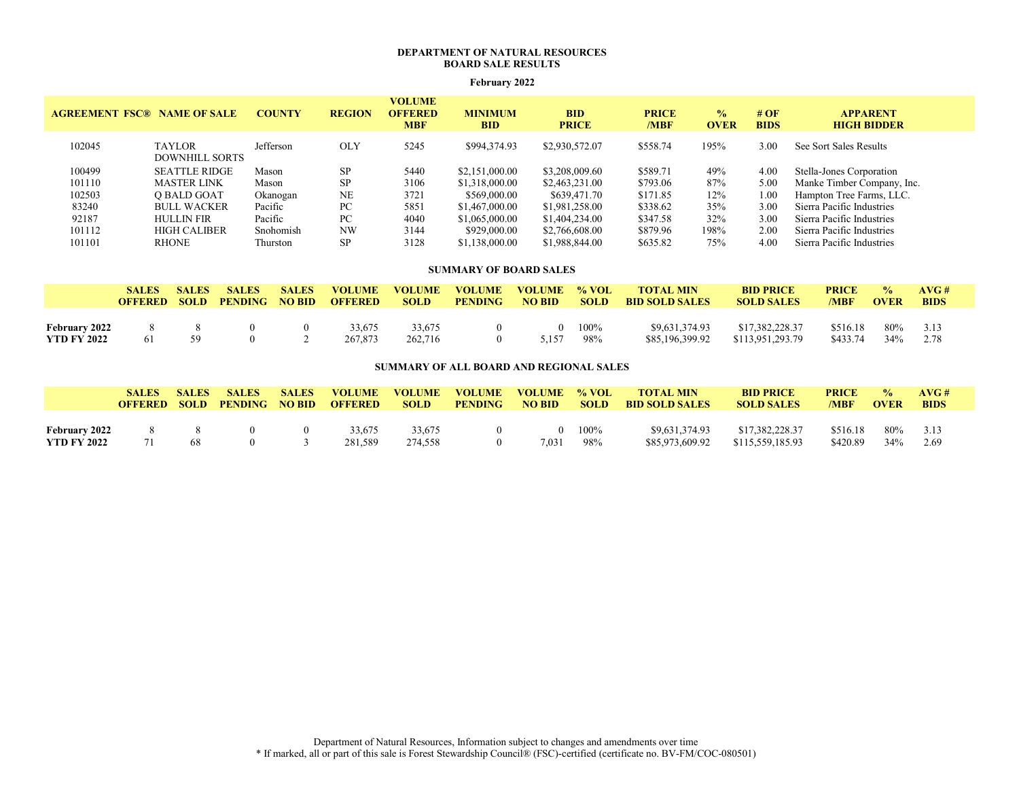# DEPARTMENT OF NATURAL RESOURCES BOARD SALE RESULTS

### February 2022

| <b>AGREEMENT FSC® NAME OF SALE</b> |                                        | <b>COUNTY</b> | <b>REGION</b> | <b>VOLUME</b><br><b>OFFERED</b><br><b>MBF</b> | <b>MINIMUM</b><br><b>BID</b> | <b>BID</b><br><b>PRICE</b> | <b>PRICE</b><br>/MBF | $\frac{0}{2}$<br><b>OVER</b> | # $\overline{OF}$<br><b>BIDS</b> | <b>APPARENT</b><br><b>HIGH BIDDER</b> |
|------------------------------------|----------------------------------------|---------------|---------------|-----------------------------------------------|------------------------------|----------------------------|----------------------|------------------------------|----------------------------------|---------------------------------------|
| 102045                             | <b>TAYLOR</b><br><b>DOWNHILL SORTS</b> | Jefferson     | <b>OLY</b>    | 5245                                          | \$994,374.93                 | \$2,930,572.07             | \$558.74             | 195%                         | 3.00                             | See Sort Sales Results                |
| 100499                             | <b>SEATTLE RIDGE</b>                   | Mason         | <b>SP</b>     | 5440                                          | \$2,151,000.00               | \$3,208,009.60             | \$589.71             | 49%                          | 4.00                             | Stella-Jones Corporation              |
| 101110                             | <b>MASTER LINK</b>                     | Mason         | SP            | 3106                                          | \$1,318,000.00               | \$2,463,231.00             | \$793.06             | 87%                          | 5.00                             | Manke Timber Company, Inc.            |
| 102503                             | O BALD GOAT                            | Okanogan      | <b>NE</b>     | 3721                                          | \$569,000.00                 | \$639,471.70               | \$171.85             | 12%                          | 1.00                             | Hampton Tree Farms, LLC.              |
| 83240                              | <b>BULL WACKER</b>                     | Pacific       | PC            | 5851                                          | \$1,467,000.00               | \$1,981,258.00             | \$338.62             | 35%                          | 3.00                             | Sierra Pacific Industries             |
| 92187                              | <b>HULLIN FIR</b>                      | Pacific       | PC            | 4040                                          | \$1,065,000.00               | \$1,404,234.00             | \$347.58             | 32%                          | 3.00                             | Sierra Pacific Industries             |
| 101112                             | <b>HIGH CALIBER</b>                    | Snohomish     | <b>NW</b>     | 3144                                          | \$929,000.00                 | \$2,766,608.00             | \$879.96             | 198%                         | 2.00                             | Sierra Pacific Industries             |
| 101101                             | <b>RHONE</b>                           | Thurston      | <b>SP</b>     | 3128                                          | \$1,138,000.00               | \$1,988,844.00             | \$635.82             | 75%                          | 4.00                             | Sierra Pacific Industries             |

### SUMMARY OF BOARD SALES

|                    | <b>SALES</b><br><b>OFFERED</b> | <b>SALES</b><br><b>SOLD</b> | <b>SALES</b><br><b>PENDING</b> | <b>SALES</b><br><b>NO BID</b> | <b>VOLUME</b><br><b>OFFERED</b> | <b>VOLUME</b><br><b>SOLD</b> | <b>VOLUME</b><br><b>PENDING</b> | <b>VOLUME</b><br><b>NO BID</b> | $\%$ VOL<br><b>SOLD</b> | <b>TOTAL MIN</b><br><b>BID SOLD SALES</b> | <b>BID PRICE</b><br><b>SOLD SALES</b> | <b>PRICE</b><br>/MBF | $\frac{0}{n}$<br><b>OVER</b> | AVG#<br><b>BIDS</b> |
|--------------------|--------------------------------|-----------------------------|--------------------------------|-------------------------------|---------------------------------|------------------------------|---------------------------------|--------------------------------|-------------------------|-------------------------------------------|---------------------------------------|----------------------|------------------------------|---------------------|
|                    |                                |                             |                                |                               |                                 |                              |                                 |                                |                         |                                           |                                       |                      |                              |                     |
| February 2022      |                                |                             |                                |                               | 33.675                          | 33,675                       |                                 |                                | 100%                    | \$9,631,374.93                            | \$17,382,228.37                       | \$516.18             | 80%                          | 3.13                |
| <b>YTD FY 2022</b> |                                | 59                          |                                |                               | 267,873                         | 262,716                      |                                 | 5157                           | 98%                     | \$85,196,399.92                           | \$113,951,293.79                      | \$433.74             | 34%                          | 2.78                |

# SUMMARY OF ALL BOARD AND REGIONAL SALES

|                      | <b>SALES</b><br><b>OFFERED</b> | <b>SALES</b><br><b>SOLD</b> | <b>SALES</b><br><b>PENDING</b> | <b>SALES</b><br><b>NO BID</b> | <b>VOLUME</b><br><b>OFFERED</b> | <b>VOLUME</b><br><b>SOLD</b> | <b>VOLUME</b><br><b>PENDING</b> | <b>VOLUME</b><br><b>NO BID</b> | % VOL<br><b>SOLD</b> | <b>TOTAL MIN</b><br><b>BID SOLD SALES</b> | <b>BID PRICE</b><br><b>SOLD SALES</b> | <b>PRICE</b><br>/MBF | $\frac{0}{2}$<br><b>OVER</b> | AVC#<br><b>BIDS</b> |
|----------------------|--------------------------------|-----------------------------|--------------------------------|-------------------------------|---------------------------------|------------------------------|---------------------------------|--------------------------------|----------------------|-------------------------------------------|---------------------------------------|----------------------|------------------------------|---------------------|
|                      |                                |                             |                                |                               |                                 |                              |                                 |                                |                      |                                           |                                       |                      |                              |                     |
| <b>February 2022</b> |                                |                             |                                |                               | 33,675                          | 33.675                       |                                 |                                | 100%                 | \$9,631,374.93                            | \$17,382,228.37                       | \$516.18             | 80%                          | 3.13                |
| YTD FY 2022          |                                | 68                          |                                |                               | 281.589                         | 274,558                      |                                 | 7.031                          | 98%                  | \$85,973,609.92                           | \$115,559,185.93                      | \$420.89             | 34%                          | 2.69                |